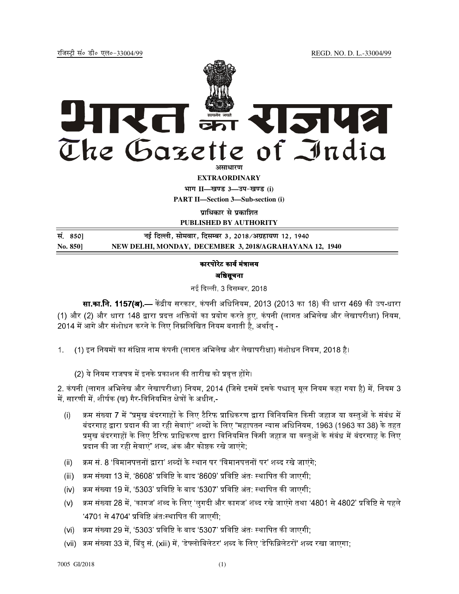jftLVªh laö Mhö ,yö&33004@99 REGD. NO. D. L.-33004/99



**EXTRAORDINARY**

**Hkkx II—[k.M 3—mi&[k.M (i)**

**PART II—Section 3—Sub-section (i)** 

**<u>uाधिकार से पकाशित</u>** 

**PUBLISHED BY AUTHORITY**

| सं. 850] | नई दिल्ली, सोमवार, दिसम्बर 3, 2018/अग्रहायण 12, 1940    |
|----------|---------------------------------------------------------|
| No. 8501 | NEW DELHI, MONDAY, DECEMBER 3, 2018/AGRAHAYANA 12, 1940 |

# कारपोरेट कार्य मंत्रालय अधिसूचना

नई दिल्ली. 3 दिसम्बर, 2018.

**सा.का.नि. 1157(अ).—** केंद्रीय सरकार. कंपनी अधिनियम. 2013 (2013 का 18) की धारा 469 की उप-धारा (1) और (2) और धारा 148 द्वारा प्रदत्त शक्तियों का प्रयोग करते हुए, कंपनी (लागत अभिलेख और लेखापरीक्षा) नियम, 2014 में आगे और संशोधन करने के लिए निम्नलिखित नियम बनाती है. अर्थात -

1. (1) इन नियमों का संक्षिप्त नाम कंपनी (लागत अभिलेख और लेखापरीक्षा) संशोधन नियम. 2018 है।

(2) ये नियम राजपत्र में इनके प्रकाशन की तारीख को प्रवत्त होंगे।

2. कंपनी (लागत अभिलेख और लेखापरीक्षा) नियम. 2014 (जिसे इसमें इसके पश्चात मल नियम कहा गया है) में. नियम 3 में. सारणी में. शीर्षक (ख) गैर-विनियमित क्षेत्रों के अधीन.-

- (i) क्रम संख्या 7 में "प्रमख बंदरगाहों के लिए टैरिफ प्राधिकरण द्वारा विनियमित किसी जहाज या वस्तओं के संबंध में बंदरगाह द्वारा प्रदान की जा रही सेवाएं" शब्दों के लिए "महापतन न्यास अधिनियम. 1963 (1963 का 38) के तहत प्रमख बंदरगाहों के लिए टैरिफ प्राधिकरण द्वारा विनियमित किसी जहाज या वस्तओं के संबंध में बंदरगाह के लिए प्रदान की जा रही सेवाएं" शब्द, अंक और कोष्ठक रखे जाएंगे:
- (ii) क्रम सं. 8 'विमानपत्तनों द्वारा' शब्दों के स्थान पर 'विमानपत्तनों पर' शब्द रखे जाएंगे;
- (iii) क्रम संख्या 13 में '8608' प्रविष्टि के बाद '8609' प्रविष्टि अंतः स्थापित की जाएगी:
- (iv) क्रम संख्या 19 में '5303' प्रविष्टि के बाद '5307' प्रविष्टि अंत; स्थापित की जाएगी;
- (v) क्रम संख्या 28 में, 'कागज' शब्द के लिए 'लगदी और कागज' शब्द रखे जाएंगे तथा '4801 से 4802' प्रविष्टि से पहले  $14701$  से 4704' प्रविष्टि अंतःस्थापित की जाएगी;
- (vi) क्रम संख्या 29 में, '5303' प्रविष्टि के बाद '5307' प्रविष्टि अंतः स्थापित की जाएगी:
- (vii) क्रम संख्या 33 में, बिंद सं, (xiii) में, 'डेफ्लोबिलेटर' शब्द के लिए 'डेफिब्रिलेटरों' शब्द रखा जाएगा: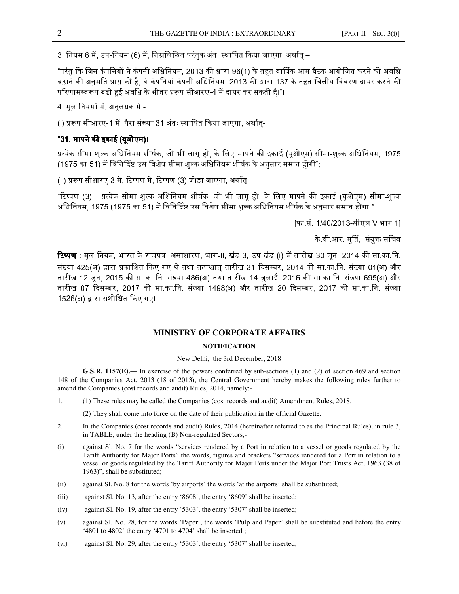3. नियम 6 में, उप-नियम (6) में, निम्नलिखित परंतक अंतः स्थापित किया जाएगा, अर्थात –

"परंत कि जिन कंपनियों ने कंपनी अधिनियम. 2013 की धारा 96(1) के तहत वार्षिक आम बैठक आयोजित करने की अवधि बढ़ाने की अनमति प्राप्त की है. वे कंपनियां कंपनी अधिनियम. 2013 की धारा 137 के तहत वित्तीय विवरण दायर करने की परिणामस्वरूप बढ़ी हुई अवधि के भीतर प्ररूप सीआरए-4 में दायर कर सकती हैं।"।

4. मल नियमों में. अनलग्नक में.-

(i) प्ररूप सीआरए-1 में, पैरा संख्या 31 अंतः स्थापित किया जाएगा, अर्थात-

# "31. मापने की इकाई (यओएम)।

प्रत्येक सीमा शल्क अधिनियम शीर्षक, जो भी लाग हो. के लिए मापने की इकाई (यओएम) सीमा-शल्क अधिनियम, 1975 (1975 का 51) में विनिर्दिष्ट उस विशेष सीमा शल्क अधिनियम शीर्षक के अनसार समान होगी";

(ii) प्ररूप सीआरए-3 में, टिप्पण में, टिप्पण (3) जोड़ा जाएगा, अर्थात –

"टिप्पण (3) : प्रत्येक सीमा शल्क अधिनियम शीर्षक. जो भी लाग हो. के लिए मापने की इकाई (यओएम) सीमा-शल्क अधिनियम. 1975 (1975 का 51) में विनिर्दिष्ट उस विशेष सीमा शल्क अधिनियम शीर्षक के अनसार समान होगा।"

[फा.सं. 1/40/2013-सीएल V भाग 1]

के वी आर. मर्ति. संयक्त सचिव

**टिप्पण**: मल नियम, भारत के राजपत्र, असाधारण, भाग-II, खंड 3, उप खंड (i) में तारीख 30 जन, 2014 की सा.का.नि. संख्या 425(अ) द्वारा प्रकाशित किए गए थे तथा तत्पश्चात तारीख 31 दिसम्बर, 2014 की सा.का.नि. संख्या 01(अ) और तारीख 12 जन. 2015 की सा.का.नि. संख्या 486(अ) तथा तारीख 14 जलाई. 2016 की सा.का.नि. संख्या 695(अ) और तारीख 07 दिसम्बर, 2017 की सा.का.नि. संख्या 1498(अ) और तारीख 20 दिसम्बर, 2017 की सा.का.नि. संख्या 1526(अ) द्वारा संशोधित किए गए।

### **MINISTRY OF CORPORATE AFFAIRS**

### **NOTIFICATION**

New Delhi, the 3rd December, 2018

 **G.S.R. 1157(E).—** In exercise of the powers conferred by sub-sections (1) and (2) of section 469 and section 148 of the Companies Act, 2013 (18 of 2013), the Central Government hereby makes the following rules further to amend the Companies (cost records and audit) Rules, 2014, namely:-

1. (1) These rules may be called the Companies (cost records and audit) Amendment Rules, 2018.

(2) They shall come into force on the date of their publication in the official Gazette.

- 2. In the Companies (cost records and audit) Rules, 2014 (hereinafter referred to as the Principal Rules), in rule 3, in TABLE, under the heading (B) Non-regulated Sectors,-
- (i) against Sl. No. 7 for the words "services rendered by a Port in relation to a vessel or goods regulated by the Tariff Authority for Major Ports" the words, figures and brackets "services rendered for a Port in relation to a vessel or goods regulated by the Tariff Authority for Major Ports under the Major Port Trusts Act, 1963 (38 of 1963)", shall be substituted;
- (ii) against Sl. No. 8 for the words 'by airports' the words 'at the airports' shall be substituted;
- (iii) against Sl. No. 13, after the entry '8608', the entry '8609' shall be inserted;
- (iv) against Sl. No. 19, after the entry '5303', the entry '5307' shall be inserted;
- (v) against Sl. No. 28, for the words 'Paper', the words 'Pulp and Paper' shall be substituted and before the entry '4801 to 4802' the entry '4701 to 4704' shall be inserted ;
- (vi) against Sl. No. 29, after the entry '5303', the entry '5307' shall be inserted;